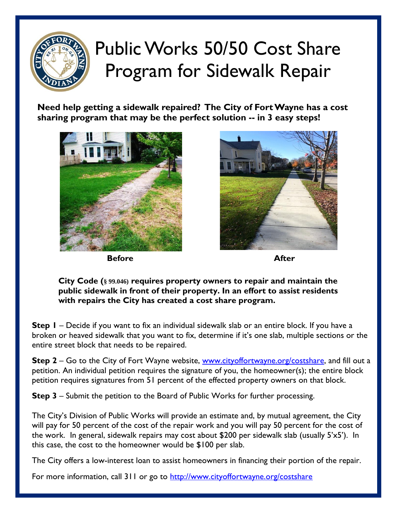

## Public Works 50/50 Cost Share Program for Sidewalk Repair

**Need help getting a sidewalk repaired? The City of Fort Wayne has a cost sharing program that may be the perfect solution -- in 3 easy steps!**



**Before After** *After* 



**City Code (§ 99.046) requires property owners to repair and maintain the public sidewalk in front of their property. In an effort to assist residents with repairs the City has created a cost share program.** 

**Step 1** – Decide if you want to fix an individual sidewalk slab or an entire block. If you have a broken or heaved sidewalk that you want to fix, determine if it's one slab, multiple sections or the entire street block that needs to be repaired.

**Step 2** – Go to the City of Fort Wayne website, [www.cityoffortwayne.org/costshare,](http://www.cityoffortwayne.org/costshare) and fill out a petition. An individual petition requires the signature of you, the homeowner(s); the entire block petition requires signatures from 51 percent of the effected property owners on that block.

**Step 3** – Submit the petition to the Board of Public Works for further processing.

The City's Division of Public Works will provide an estimate and, by mutual agreement, the City will pay for 50 percent of the cost of the repair work and you will pay 50 percent for the cost of the work. In general, sidewalk repairs may cost about \$200 per sidewalk slab (usually 5'x5'). In this case, the cost to the homeowner would be \$100 per slab.

The City offers a low-interest loan to assist homeowners in financing their portion of the repair.

For more information, call 311 or go to<http://www.cityoffortwayne.org/costshare>